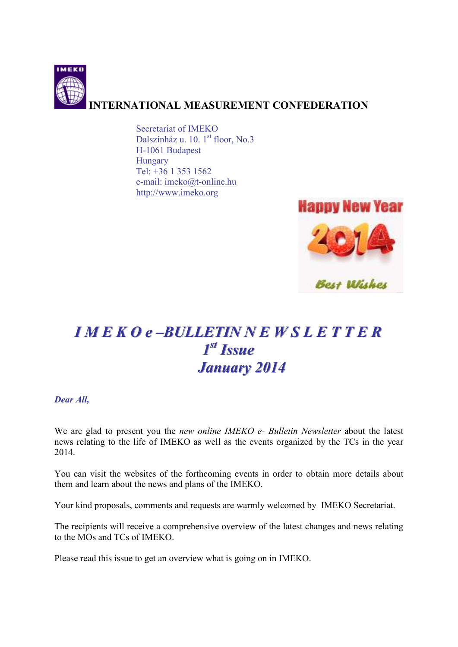

Secretariat of IMEKO Dalszínház u. 10. 1<sup>st</sup> floor, No.3 H-1061 Budapest Hungary Tel: +36 1 353 1562 e-mail: imeko@t-online.hu http://www.imeko.org



# *I M E K O e ––BULLETIN N E W S L E T T E R 1 sst t Issue January 2014*

## *Dear All,*

We are glad to present you the *new online IMEKO e- Bulletin Newsletter* about the latest news relating to the life of IMEKO as well as the events organized by the TCs in the year 2014.

You can visit the websites of the forthcoming events in order to obtain more details about them and learn about the news and plans of the IMEKO.

Your kind proposals, comments and requests are warmly welcomed by IMEKO Secretariat.

The recipients will receive a comprehensive overview of the latest changes and news relating to the MOs and TCs of IMEKO.

Please read this issue to get an overview what is going on in IMEKO.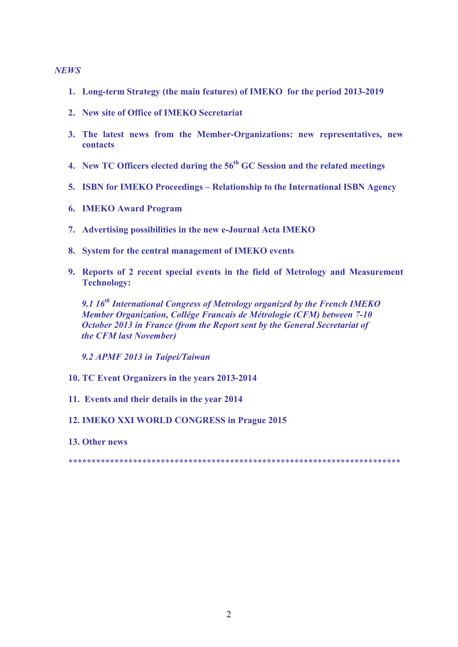#### *NEWS*

- **1. Long-term Strategy (the main features) of IMEKO for the period 2013-2019**
- **2. New site of Office of IMEKO Secretariat**
- **3. The latest news from the Member-Organizations: new representatives, new contacts**
- **4. New TC Officers elected during the 56th GC Session and the related meetings**
- **5. ISBN for IMEKO Proceedings Relationship to the International ISBN Agency**
- **6. IMEKO Award Program**
- **7. Advertising possibilities in the new e-Journal Acta IMEKO**
- **8. System for the central management of IMEKO events**
- **9. Reports of 2 recent special events in the field of Metrology and Measurement Technology:**

*9.1 16th International Congress of Metrology organized by the French IMEKO Member Organization, Collége Francais de Métrologie (CFM) between 7-10 October 2013 in France (from the Report sent by the General Secretariat of the CFM last November)* 

*9.2 APMF 2013 in Taipei/Taiwan* 

- **10. TC Event Organizers in the years 2013-2014**
- **11. Events and their details in the year 2014**

## **12. IMEKO XXI WORLD CONGRESS in Prague 2015**

**13. Other news** 

\*\*\*\*\*\*\*\*\*\*\*\*\*\*\*\*\*\*\*\*\*\*\*\*\*\*\*\*\*\*\*\*\*\*\*\*\*\*\*\*\*\*\*\*\*\*\*\*\*\*\*\*\*\*\*\*\*\*\*\*\*\*\*\*\*\*\*\*\*\*\*\*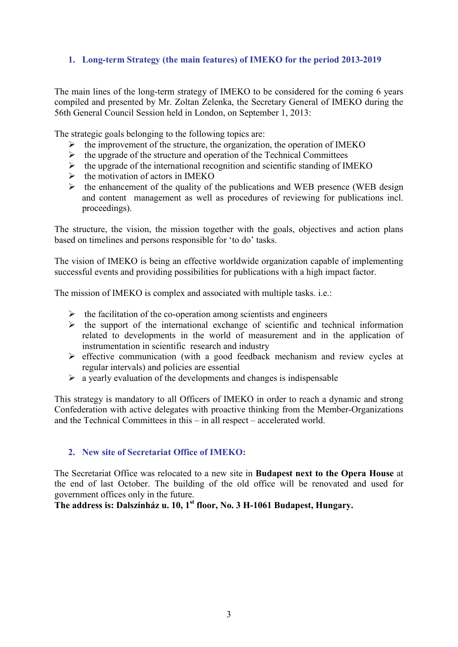## **1. Long-term Strategy (the main features) of IMEKO for the period 2013-2019**

The main lines of the long-term strategy of IMEKO to be considered for the coming 6 years compiled and presented by Mr. Zoltan Zelenka, the Secretary General of IMEKO during the 56th General Council Session held in London, on September 1, 2013:

The strategic goals belonging to the following topics are:

- $\triangleright$  the improvement of the structure, the organization, the operation of IMEKO
- $\triangleright$  the upgrade of the structure and operation of the Technical Committees
- $\triangleright$  the upgrade of the international recognition and scientific standing of IMEKO
- $\triangleright$  the motivation of actors in IMEKO
- $\triangleright$  the enhancement of the quality of the publications and WEB presence (WEB design and content management as well as procedures of reviewing for publications incl. proceedings).

The structure, the vision, the mission together with the goals, objectives and action plans based on timelines and persons responsible for 'to do' tasks.

The vision of IMEKO is being an effective worldwide organization capable of implementing successful events and providing possibilities for publications with a high impact factor.

The mission of IMEKO is complex and associated with multiple tasks. i.e.:

- $\triangleright$  the facilitation of the co-operation among scientists and engineers
- $\triangleright$  the support of the international exchange of scientific and technical information related to developments in the world of measurement and in the application of instrumentation in scientific research and industry
- $\triangleright$  effective communication (with a good feedback mechanism and review cycles at regular intervals) and policies are essential
- $\triangleright$  a yearly evaluation of the developments and changes is indispensable

This strategy is mandatory to all Officers of IMEKO in order to reach a dynamic and strong Confederation with active delegates with proactive thinking from the Member-Organizations and the Technical Committees in this – in all respect – accelerated world.

## **2. New site of Secretariat Office of IMEKO:**

The Secretariat Office was relocated to a new site in **Budapest next to the Opera House** at the end of last October. The building of the old office will be renovated and used for government offices only in the future.

**The address is: Dalszínház u. 10, 1st floor, No. 3 H-1061 Budapest, Hungary.**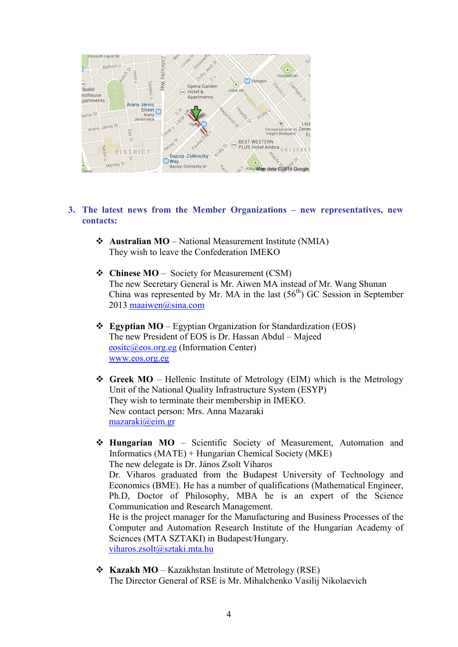

- **3. The latest news from the Member Organizations new representatives, new contacts:** 
	- **◆ Australian MO** National Measurement Institute (NMIA) They wish to leave the Confederation IMEKO
	- **Chinese MO** Society for Measurement (CSM) The new Secretary General is Mr. Aiwen MA instead of Mr. Wang Shunan China was represented by Mr. MA in the last  $(56<sup>th</sup>)$  GC Session in September 2013 maaiwen@sina.com
	- **Egyptian MO** Egyptian Organization for Standardization (EOS) The new President of EOS is Dr. Hassan Abdul – Majeed eositc@eos.org.eg (Information Center) www.eos.org.eg
	- \* Greek MO Hellenic Institute of Metrology (EIM) which is the Metrology Unit of the National Quality Infrastructure System (ESYP) They wish to terminate their membership in IMEKO. New contact person: Mrs. Anna Mazaraki mazaraki@eim.gr
	- **Hungarian MO** Scientific Society of Measurement, Automation and Informatics (MATE) + Hungarian Chemical Society (MKE) The new delegate is Dr. János Zsolt Viharos Dr. Viharos graduated from the Budapest University of Technology and Economics (BME). He has a number of qualifications (Mathematical Engineer, Ph.D, Doctor of Philosophy, MBA he is an expert of the Science Communication and Research Management. He is the project manager for the Manufacturing and Business Processes of the Computer and Automation Research Institute of the Hungarian Academy of Sciences (MTA SZTAKI) in Budapest/Hungary. viharos.zsolt@sztaki.mta.hu
	- **Kazakh MO** Kazakhstan Institute of Metrology (RSE) The Director General of RSE is Mr. Mihalchenko Vasilij Nikolaevich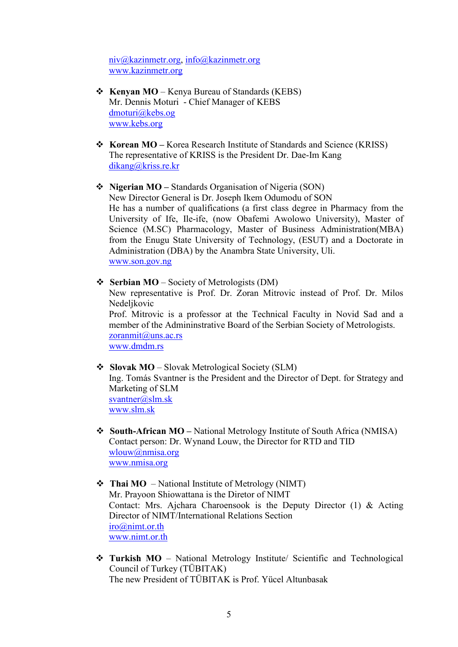niv@kazinmetr.org, info@kazinmetr.org www.kazinmetr.org

- **Kenyan MO** Kenya Bureau of Standards (KEBS) Mr. Dennis Moturi - Chief Manager of KEBS dmoturi@kebs.og www.kebs.org
- **Korean MO** Korea Research Institute of Standards and Science (KRISS) The representative of KRISS is the President Dr. Dae-Im Kang dikang@kriss.re.kr
- **Nigerian MO** Standards Organisation of Nigeria (SON) New Director General is Dr. Joseph Ikem Odumodu of SON He has a number of qualifications (a first class degree in Pharmacy from the University of Ife, Ile-ife, (now Obafemi Awolowo University), Master of Science (M.SC) Pharmacology, Master of Business Administration(MBA) from the Enugu State University of Technology, (ESUT) and a Doctorate in Administration (DBA) by the Anambra State University, Uli. www.son.gov.ng
- **Serbian MO** Society of Metrologists (DM) New representative is Prof. Dr. Zoran Mitrovic instead of Prof. Dr. Milos Nedelikovic

Prof. Mitrovic is a professor at the Technical Faculty in Novid Sad and a member of the Admininstrative Board of the Serbian Society of Metrologists. zoranmit@uns.ac.rs www.dmdm.rs

- 
- **Slovak MO** Slovak Metrological Society (SLM)

Ing. Tomás Svantner is the President and the Director of Dept. for Strategy and Marketing of SLM svantner@slm.sk www.slm.sk

- **South-African MO** National Metrology Institute of South Africa (NMISA) Contact person: Dr. Wynand Louw, the Director for RTD and TID wlouw@nmisa.org www.nmisa.org
- **Thai MO**  National Institute of Metrology (NIMT) Mr. Prayoon Shiowattana is the Diretor of NIMT Contact: Mrs. Ajchara Charoensook is the Deputy Director (1) & Acting Director of NIMT/International Relations Section iro@nimt.or.th www.nimt.or.th
- **Turkish MO** National Metrology Institute/ Scientific and Technological Council of Turkey (TÜBITAK) The new President of TÜBITAK is Prof. Yücel Altunbasak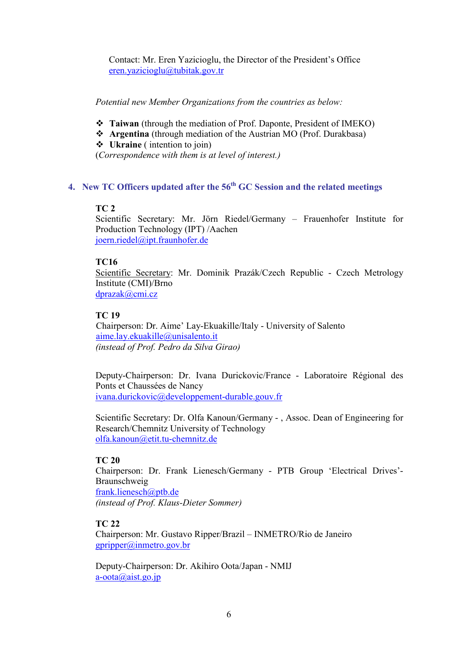Contact: Mr. Eren Yazicioglu, the Director of the President's Office eren.yazicioglu@tubitak.gov.tr

*Potential new Member Organizations from the countries as below:* 

- **Taiwan** (through the mediation of Prof. Daponte, President of IMEKO)
- **Argentina** (through mediation of the Austrian MO (Prof. Durakbasa)
- **Ukraine** ( intention to join)

(*Correspondence with them is at level of interest.)* 

# **4. New TC Officers updated after the 56th GC Session and the related meetings**

## **TC 2**

Scientific Secretary: Mr. Jörn Riedel/Germany – Frauenhofer Institute for Production Technology (IPT) /Aachen joern.riedel@ipt.fraunhofer.de

# **TC16**

Scientific Secretary: Mr. Dominik Prazák/Czech Republic - Czech Metrology Institute (CMI)/Brno dprazak@cmi.cz

# **TC 19**

 Chairperson: Dr. Aime' Lay-Ekuakille/Italy - University of Salento aime.lay.ekuakille@unisalento.it *(instead of Prof. Pedro da Silva Girao)* 

Deputy-Chairperson: Dr. Ivana Durickovic/France - Laboratoire Régional des Ponts et Chaussées de Nancy ivana.durickovic@developpement-durable.gouv.fr

Scientific Secretary: Dr. Olfa Kanoun/Germany - , Assoc. Dean of Engineering for Research/Chemnitz University of Technology olfa.kanoun@etit.tu-chemnitz.de

# **TC 20**

Chairperson: Dr. Frank Lienesch/Germany - PTB Group 'Electrical Drives'- Braunschweig frank.lienesch@ptb.de

*(instead of Prof. Klaus-Dieter Sommer)* 

# **TC 22**

Chairperson: Mr. Gustavo Ripper/Brazil – INMETRO/Rio de Janeiro gpripper@inmetro.gov.br

Deputy-Chairperson: Dr. Akihiro Oota/Japan - NMIJ  $a$ -oota $\omega$ aist.go.jp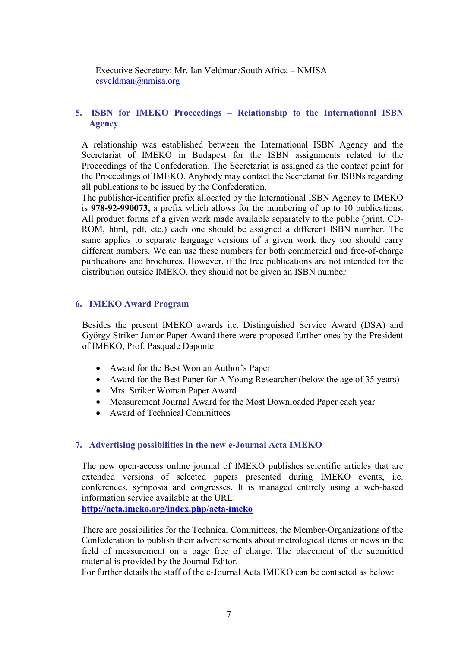Executive Secretary: Mr. Ian Veldman/South Africa – NMISA csveldman@nmisa.org

#### **5. ISBN for IMEKO Proceedings – Relationship to the International ISBN Agency**

A relationship was established between the International ISBN Agency and the Secretariat of IMEKO in Budapest for the ISBN assignments related to the Proceedings of the Confederation. The Secretariat is assigned as the contact point for the Proceedings of IMEKO. Anybody may contact the Secretariat for ISBNs regarding all publications to be issued by the Confederation.

The publisher-identifier prefix allocated by the International ISBN Agency to IMEKO is **978-92-990073,** a prefix which allows for the numbering of up to 10 publications. All product forms of a given work made available separately to the public (print, CD-ROM, html, pdf, etc.) each one should be assigned a different ISBN number. The same applies to separate language versions of a given work they too should carry different numbers. We can use these numbers for both commercial and free-of-charge publications and brochures. However, if the free publications are not intended for the distribution outside IMEKO, they should not be given an ISBN number.

#### **6. IMEKO Award Program**

Besides the present IMEKO awards i.e. Distinguished Service Award (DSA) and György Striker Junior Paper Award there were proposed further ones by the President of IMEKO, Prof. Pasquale Daponte:

- Award for the Best Woman Author's Paper
- Award for the Best Paper for A Young Researcher (below the age of 35 years)
- Mrs. Striker Woman Paper Award
- Measurement Journal Award for the Most Downloaded Paper each year
- Award of Technical Committees

#### **7. Advertising possibilities in the new e-Journal Acta IMEKO**

The new open-access online journal of IMEKO publishes scientific articles that are extended versions of selected papers presented during IMEKO events, i.e. conferences, symposia and congresses. It is managed entirely using a web-based information service available at the URL:

**http://acta.imeko.org/index.php/acta-imeko**

There are possibilities for the Technical Committees, the Member-Organizations of the Confederation to publish their advertisements about metrological items or news in the field of measurement on a page free of charge. The placement of the submitted material is provided by the Journal Editor.

For further details the staff of the e-Journal Acta IMEKO can be contacted as below: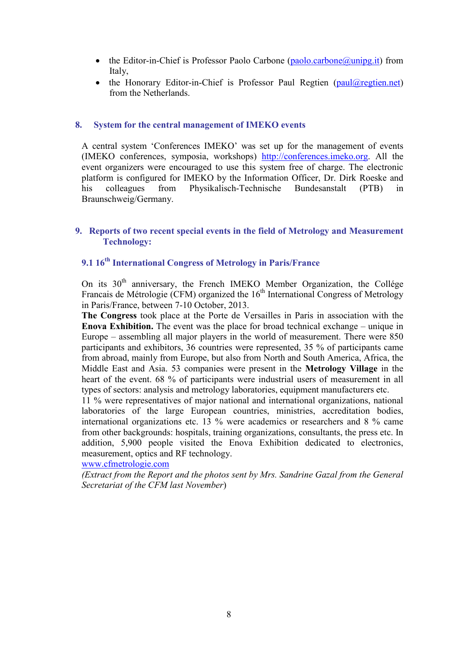- the Editor-in-Chief is Professor Paolo Carbone (paolo.carbone@unipg.it) from Italy,
- the Honorary Editor-in-Chief is Professor Paul Regtien (paul@regtien.net) from the Netherlands.

#### **8. System for the central management of IMEKO events**

A central system 'Conferences IMEKO' was set up for the management of events (IMEKO conferences, symposia, workshops) http://conferences.imeko.org. All the event organizers were encouraged to use this system free of charge. The electronic platform is configured for IMEKO by the Information Officer, Dr. Dirk Roeske and his colleagues from Physikalisch-Technische Bundesanstalt (PTB) in Braunschweig/Germany.

#### **9. Reports of two recent special events in the field of Metrology and Measurement Technology:**

## **9.1 16th International Congress of Metrology in Paris/France**

On its  $30<sup>th</sup>$  anniversary, the French IMEKO Member Organization, the Collége Francais de Métrologie (CFM) organized the  $16<sup>th</sup>$  International Congress of Metrology in Paris/France, between 7-10 October, 2013.

**The Congress** took place at the Porte de Versailles in Paris in association with the **Enova Exhibition.** The event was the place for broad technical exchange – unique in Europe – assembling all major players in the world of measurement. There were 850 participants and exhibitors, 36 countries were represented, 35 % of participants came from abroad, mainly from Europe, but also from North and South America, Africa, the Middle East and Asia. 53 companies were present in the **Metrology Village** in the heart of the event. 68 % of participants were industrial users of measurement in all types of sectors: analysis and metrology laboratories, equipment manufacturers etc.

11 % were representatives of major national and international organizations, national laboratories of the large European countries, ministries, accreditation bodies, international organizations etc. 13 % were academics or researchers and 8 % came from other backgrounds: hospitals, training organizations, consultants, the press etc. In addition, 5,900 people visited the Enova Exhibition dedicated to electronics, measurement, optics and RF technology.

www.cfmetrologie.com

*(Extract from the Report and the photos sent by Mrs. Sandrine Gazal from the General Secretariat of the CFM last November*)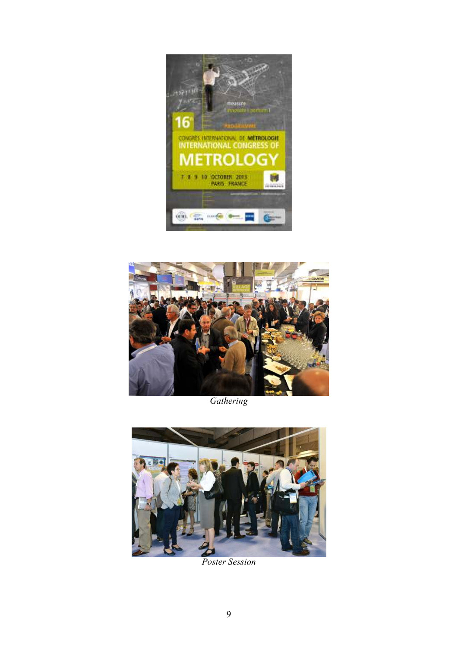



*Gathering* 



*Poster Session*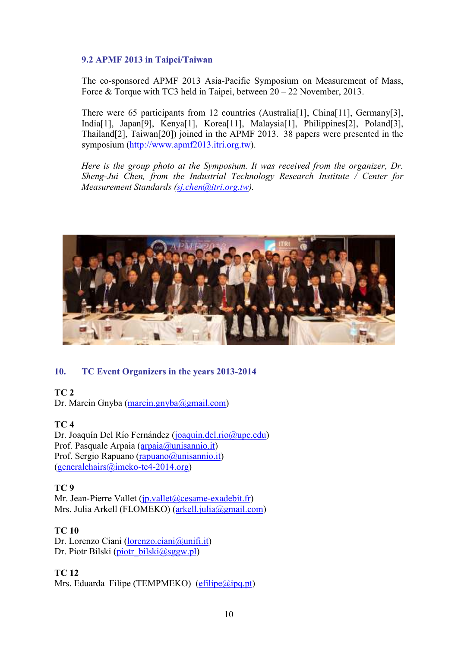## **9.2 APMF 2013 in Taipei/Taiwan**

The co-sponsored APMF 2013 Asia-Pacific Symposium on Measurement of Mass, Force & Torque with TC3 held in Taipei, between 20 – 22 November, 2013.

There were 65 participants from 12 countries (Australia<sup>[1]</sup>, China<sup>[11]</sup>, Germany<sup>[3]</sup>, India[1], Japan[9], Kenya[1], Korea[11], Malaysia[1], Philippines[2], Poland[3], Thailand[2], Taiwan[20]) joined in the APMF 2013. 38 papers were presented in the symposium (http://www.apmf2013.itri.org.tw).

*Here is the group photo at the Symposium. It was received from the organizer, Dr. Sheng-Jui Chen, from the Industrial Technology Research Institute / Center for Measurement Standards (sj.chen@itri.org.tw).* 



## **10. TC Event Organizers in the years 2013-2014**

#### **TC 2**

Dr. Marcin Gnyba (marcin.gnyba@gmail.com)

## **TC 4**

Dr. Joaquín Del Río Fernández (joaquin.del.rio@upc.edu) Prof. Pasquale Arpaia (arpaia@unisannio.it) Prof. Sergio Rapuano (rapuano @unisannio.it) (generalchairs@imeko-tc4-2014.org)

#### **TC 9**

Mr. Jean-Pierre Vallet (jp.vallet@cesame-exadebit.fr) Mrs. Julia Arkell (FLOMEKO) (arkell.julia@gmail.com)

## **TC 10**

Dr. Lorenzo Ciani (lorenzo.ciani@unifi.it) Dr. Piotr Bilski (piotr\_bilski@sggw.pl)

## **TC 12**

Mrs. Eduarda Filipe (TEMPMEKO) ( $\text{efflipe}(\overline{a} \text{ipq} \cdot \text{pt})$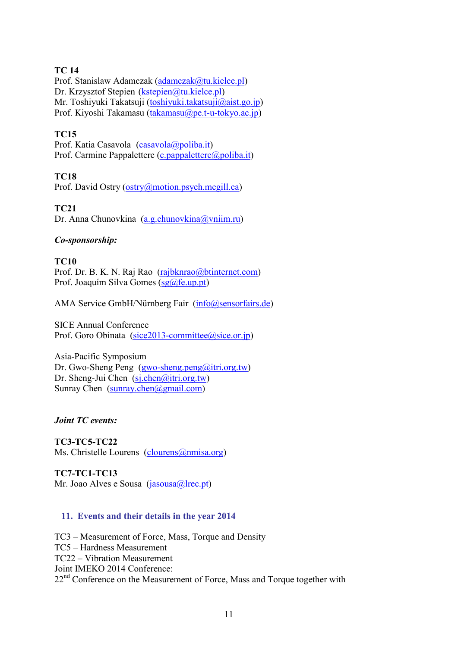## **TC 14**

Prof. Stanislaw Adamczak (adamczak@tu.kielce.pl) Dr. Krzysztof Stepien (kstepien@tu.kielce.pl) Mr. Toshiyuki Takatsuji (toshiyuki.takatsuji@aist.go.jp) Prof. Kiyoshi Takamasu (takamasu@pe.t-u-tokyo.ac.jp)

## **TC15**

Prof. Katia Casavola (casavola@poliba.it) Prof. Carmine Pappalettere (c.pappalettere@poliba.it)

## **TC18**

Prof. David Ostry (ostry@motion.psych.mcgill.ca)

**TC21** 

Dr. Anna Chunovkina (a.g.chunovkina@vniim.ru)

## *Co-sponsorship:*

**TC10**  Prof. Dr. B. K. N. Raj Rao (rajbknrao@btinternet.com) Prof. Joaquím Silva Gomes (sg@fe.up.pt)

AMA Service GmbH/Nürnberg Fair (info@sensorfairs.de)

SICE Annual Conference Prof. Goro Obinata (sice2013-committee@sice.or.jp)

Asia-Pacific Symposium Dr. Gwo-Sheng Peng (gwo-sheng.peng@itri.org.tw) Dr. Sheng-Jui Chen (sj.chen@itri.org.tw) Sunray Chen  $(sunray.chen@gmail.com)$ 

*Joint TC events:* 

## **TC3-TC5-TC22** Ms. Christelle Lourens (clourens@nmisa.org)

**TC7-TC1-TC13** Mr. Joao Alves e Sousa (jasousa@lrec.pt)

# **11. Events and their details in the year 2014**

TC3 – Measurement of Force, Mass, Torque and Density TC5 – Hardness Measurement TC22 – Vibration Measurement Joint IMEKO 2014 Conference:  $22<sup>nd</sup>$  Conference on the Measurement of Force, Mass and Torque together with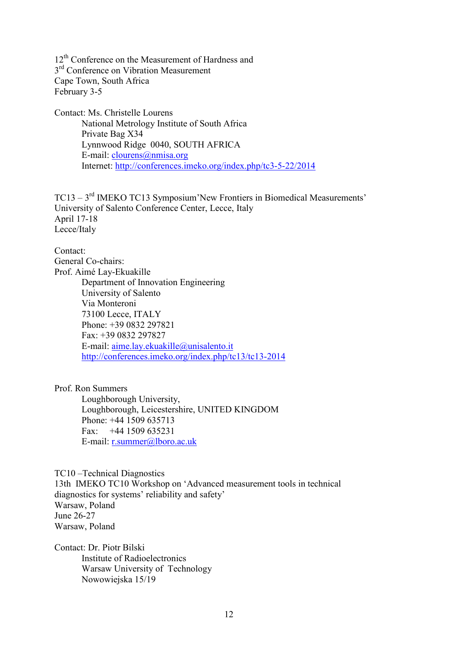12<sup>th</sup> Conference on the Measurement of Hardness and 3<sup>rd</sup> Conference on Vibration Measurement Cape Town, South Africa February 3-5

Contact: Ms. Christelle Lourens National Metrology Institute of South Africa Private Bag X34 Lynnwood Ridge 0040, SOUTH AFRICA E-mail: *clourens@nmisa.org* Internet: http://conferences.imeko.org/index.php/tc3-5-22/2014

TC13 – 3rd IMEKO TC13 Symposium'New Frontiers in Biomedical Measurements' University of Salento Conference Center, Lecce, Italy April 17-18 Lecce/Italy

Contact: General Co-chairs: Prof. Aimé Lay-Ekuakille Department of Innovation Engineering University of Salento Via Monteroni 73100 Lecce, ITALY Phone: +39 0832 297821 Fax: +39 0832 297827 E-mail: aime.lay.ekuakille@unisalento.it http://conferences.imeko.org/index.php/tc13/tc13-2014

Prof. Ron Summers

Loughborough University, Loughborough, Leicestershire, UNITED KINGDOM Phone: +44 1509 635713 Fax:  $+44$  1509 635231 E-mail: r.summer@lboro.ac.uk

TC10 –Technical Diagnostics 13th IMEKO TC10 Workshop on 'Advanced measurement tools in technical diagnostics for systems' reliability and safety' Warsaw, Poland June 26-27 Warsaw, Poland

Contact: Dr. Piotr Bilski Institute of Radioelectronics Warsaw University of Technology Nowowiejska 15/19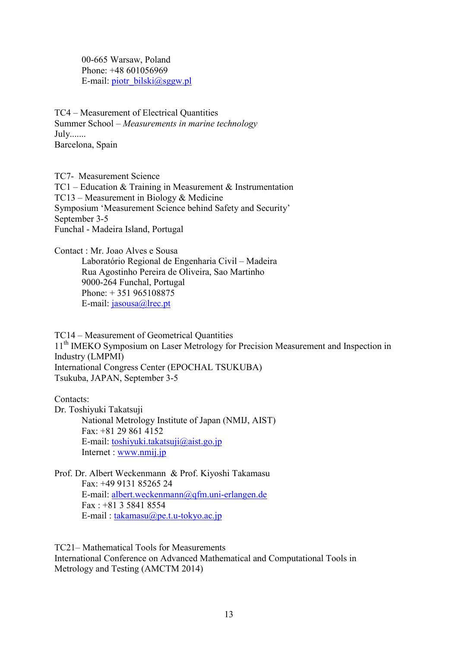00-665 Warsaw, Poland Phone: +48 601056969 E-mail: piotr\_bilski@sggw.pl

TC4 – Measurement of Electrical Quantities Summer School – *Measurements in marine technology* July....... Barcelona, Spain

TC7- Measurement Science TC1 – Education & Training in Measurement & Instrumentation TC13 – Measurement in Biology & Medicine Symposium 'Measurement Science behind Safety and Security' September 3-5 Funchal - Madeira Island, Portugal

Contact : Mr. Joao Alves e Sousa Laboratório Regional de Engenharia Civil – Madeira Rua Agostinho Pereira de Oliveira, Sao Martinho 9000-264 Funchal, Portugal Phone: + 351 965108875 E-mail: jasousa@lrec.pt

TC14 – Measurement of Geometrical Quantities 11<sup>th</sup> IMEKO Symposium on Laser Metrology for Precision Measurement and Inspection in Industry (LMPMI) International Congress Center (EPOCHAL TSUKUBA) Tsukuba, JAPAN, September 3-5

Contacts:

Dr. Toshiyuki Takatsuji National Metrology Institute of Japan (NMIJ, AIST) Fax: +81 29 861 4152 E-mail: toshiyuki.takatsuji@aist.go.jp Internet : www.nmij.jp

Prof. Dr. Albert Weckenmann & Prof. Kiyoshi Takamasu Fax: +49 9131 85265 24 E-mail: albert.weckenmann@qfm.uni-erlangen.de Fax : +81 3 5841 8554 E-mail : takamasu@pe.t.u-tokyo.ac.jp

TC21– Mathematical Tools for Measurements International Conference on Advanced Mathematical and Computational Tools in Metrology and Testing (AMCTM 2014)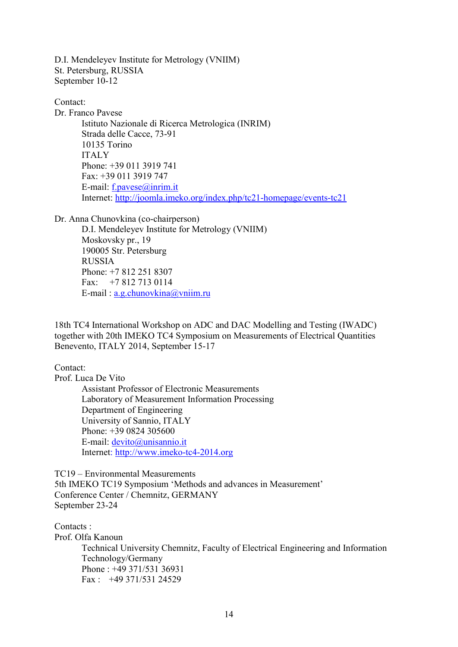D.I. Mendeleyev Institute for Metrology (VNIIM) St. Petersburg, RUSSIA September 10-12

Contact: Dr. Franco Pavese Istituto Nazionale di Ricerca Metrologica (INRIM) Strada delle Cacce, 73-91 10135 Torino ITALY Phone: +39 011 3919 741 Fax: +39 011 3919 747 E-mail: f.pavese@inrim.it Internet: http://joomla.imeko.org/index.php/tc21-homepage/events-tc21

Dr. Anna Chunovkina (co-chairperson)

D.I. Mendeleyev Institute for Metrology (VNIIM) Moskovsky pr., 19 190005 Str. Petersburg RUSSIA Phone: +7 812 251 8307 Fax: +7 812 713 0114 E-mail : a.g.chunovkina@vniim.ru

18th TC4 International Workshop on ADC and DAC Modelling and Testing (IWADC) together with 20th IMEKO TC4 Symposium on Measurements of Electrical Quantities Benevento, ITALY 2014, September 15-17

Contact:

Prof. Luca De Vito Assistant Professor of Electronic Measurements Laboratory of Measurement Information Processing Department of Engineering University of Sannio, ITALY Phone: +39 0824 305600 E-mail: devito@unisannio.it Internet: http://www.imeko-tc4-2014.org

TC19 – Environmental Measurements 5th IMEKO TC19 Symposium 'Methods and advances in Measurement' Conference Center / Chemnitz, GERMANY September 23-24

Contacts · Prof. Olfa Kanoun Technical University Chemnitz, Faculty of Electrical Engineering and Information Technology/Germany Phone : +49 371/531 36931 Fax  $\cdot$  +49 371/531 24529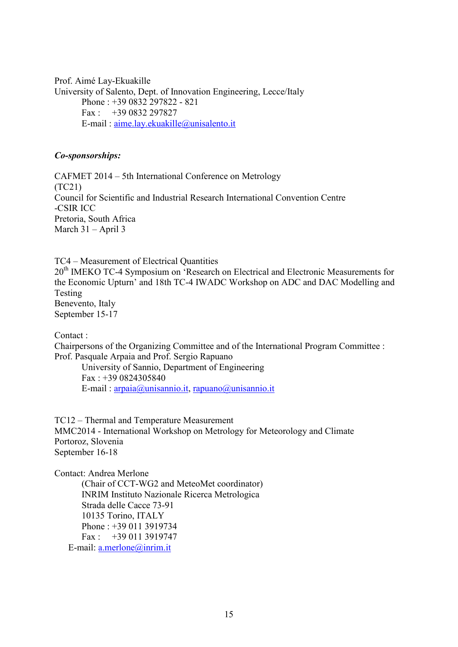Prof. Aimé Lay-Ekuakille University of Salento, Dept. of Innovation Engineering, Lecce/Italy Phone : +39 0832 297822 - 821 Fax :  $+390832297827$ E-mail : aime.lay.ekuakille@unisalento.it

#### *Co-sponsorships:*

CAFMET 2014 – 5th International Conference on Metrology (TC21) Council for Scientific and Industrial Research International Convention Centre -CSIR ICC Pretoria, South Africa March 31 – April 3

TC4 – Measurement of Electrical Quantities 20<sup>th</sup> IMEKO TC-4 Symposium on 'Research on Electrical and Electronic Measurements for the Economic Upturn' and 18th TC-4 IWADC Workshop on ADC and DAC Modelling and Testing Benevento, Italy September 15-17

Contact :

Chairpersons of the Organizing Committee and of the International Program Committee : Prof. Pasquale Arpaia and Prof. Sergio Rapuano

University of Sannio, Department of Engineering Fax : +39 0824305840 E-mail : arpaia@unisannio.it, rapuano@unisannio.it

TC12 – Thermal and Temperature Measurement MMC2014 - International Workshop on Metrology for Meteorology and Climate Portoroz, Slovenia September 16-18

Contact: Andrea Merlone

(Chair of CCT-WG2 and MeteoMet coordinator) INRIM Instituto Nazionale Ricerca Metrologica Strada delle Cacce 73-91 10135 Torino, ITALY Phone : +39 011 3919734  $Fax \cdot +390113919747$ E-mail: a.merlone@inrim.it